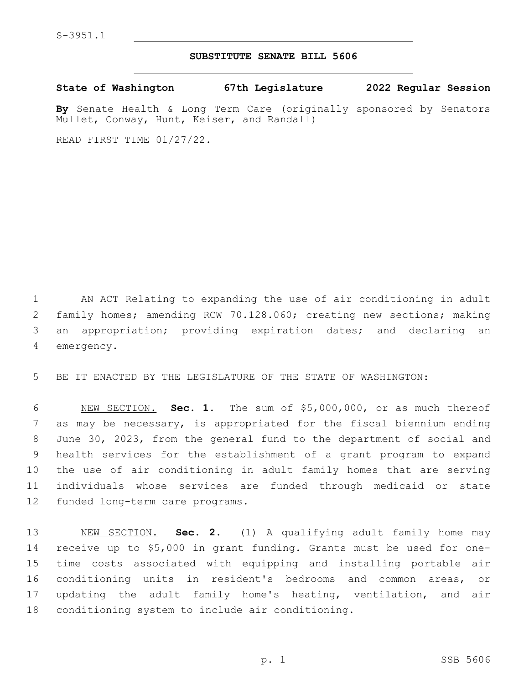## **SUBSTITUTE SENATE BILL 5606**

**State of Washington 67th Legislature 2022 Regular Session**

**By** Senate Health & Long Term Care (originally sponsored by Senators Mullet, Conway, Hunt, Keiser, and Randall)

READ FIRST TIME 01/27/22.

 AN ACT Relating to expanding the use of air conditioning in adult family homes; amending RCW 70.128.060; creating new sections; making an appropriation; providing expiration dates; and declaring an 4 emergency.

BE IT ENACTED BY THE LEGISLATURE OF THE STATE OF WASHINGTON:

 NEW SECTION. **Sec. 1.** The sum of \$5,000,000, or as much thereof as may be necessary, is appropriated for the fiscal biennium ending June 30, 2023, from the general fund to the department of social and health services for the establishment of a grant program to expand the use of air conditioning in adult family homes that are serving individuals whose services are funded through medicaid or state funded long-term care programs.

 NEW SECTION. **Sec. 2.** (1) A qualifying adult family home may receive up to \$5,000 in grant funding. Grants must be used for one- time costs associated with equipping and installing portable air conditioning units in resident's bedrooms and common areas, or updating the adult family home's heating, ventilation, and air conditioning system to include air conditioning.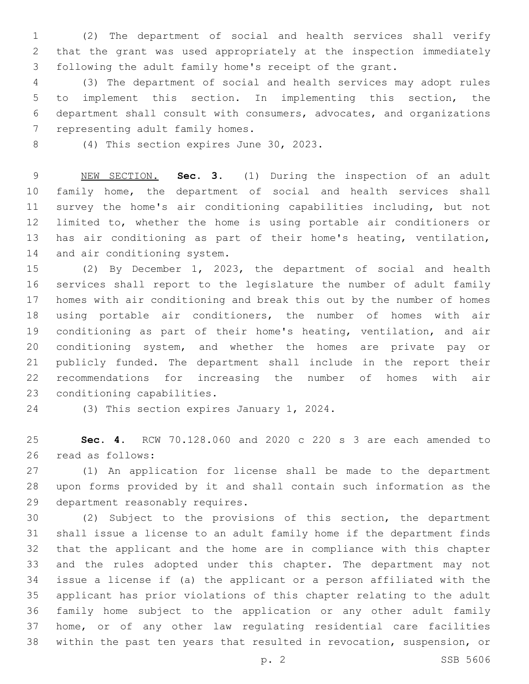(2) The department of social and health services shall verify that the grant was used appropriately at the inspection immediately following the adult family home's receipt of the grant.

 (3) The department of social and health services may adopt rules to implement this section. In implementing this section, the department shall consult with consumers, advocates, and organizations 7 representing adult family homes.

8 (4) This section expires June 30, 2023.

 NEW SECTION. **Sec. 3.** (1) During the inspection of an adult family home, the department of social and health services shall survey the home's air conditioning capabilities including, but not limited to, whether the home is using portable air conditioners or has air conditioning as part of their home's heating, ventilation, and air conditioning system.

 (2) By December 1, 2023, the department of social and health services shall report to the legislature the number of adult family homes with air conditioning and break this out by the number of homes using portable air conditioners, the number of homes with air conditioning as part of their home's heating, ventilation, and air conditioning system, and whether the homes are private pay or publicly funded. The department shall include in the report their recommendations for increasing the number of homes with air 23 conditioning capabilities.

24 (3) This section expires January 1, 2024.

 **Sec. 4.** RCW 70.128.060 and 2020 c 220 s 3 are each amended to 26 read as follows:

 (1) An application for license shall be made to the department upon forms provided by it and shall contain such information as the 29 department reasonably requires.

 (2) Subject to the provisions of this section, the department shall issue a license to an adult family home if the department finds that the applicant and the home are in compliance with this chapter and the rules adopted under this chapter. The department may not issue a license if (a) the applicant or a person affiliated with the applicant has prior violations of this chapter relating to the adult family home subject to the application or any other adult family home, or of any other law regulating residential care facilities within the past ten years that resulted in revocation, suspension, or

p. 2 SSB 5606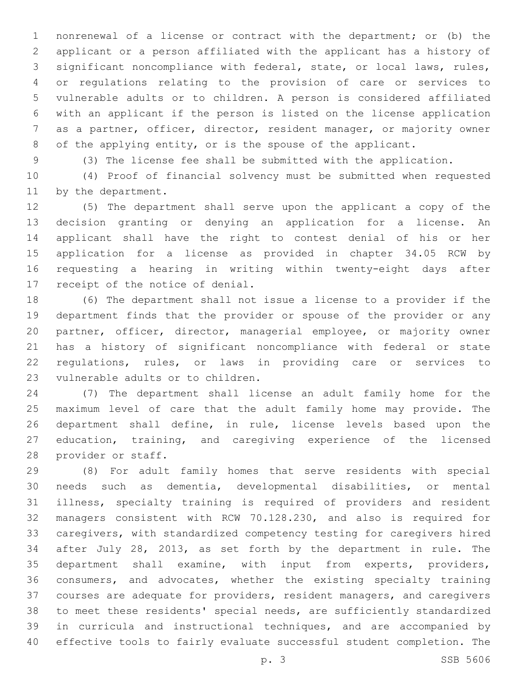nonrenewal of a license or contract with the department; or (b) the applicant or a person affiliated with the applicant has a history of significant noncompliance with federal, state, or local laws, rules, or regulations relating to the provision of care or services to vulnerable adults or to children. A person is considered affiliated with an applicant if the person is listed on the license application as a partner, officer, director, resident manager, or majority owner of the applying entity, or is the spouse of the applicant.

(3) The license fee shall be submitted with the application.

 (4) Proof of financial solvency must be submitted when requested 11 by the department.

 (5) The department shall serve upon the applicant a copy of the decision granting or denying an application for a license. An applicant shall have the right to contest denial of his or her application for a license as provided in chapter 34.05 RCW by requesting a hearing in writing within twenty-eight days after 17 receipt of the notice of denial.

 (6) The department shall not issue a license to a provider if the department finds that the provider or spouse of the provider or any partner, officer, director, managerial employee, or majority owner has a history of significant noncompliance with federal or state regulations, rules, or laws in providing care or services to 23 vulnerable adults or to children.

 (7) The department shall license an adult family home for the maximum level of care that the adult family home may provide. The department shall define, in rule, license levels based upon the education, training, and caregiving experience of the licensed 28 provider or staff.

 (8) For adult family homes that serve residents with special needs such as dementia, developmental disabilities, or mental illness, specialty training is required of providers and resident managers consistent with RCW 70.128.230, and also is required for caregivers, with standardized competency testing for caregivers hired after July 28, 2013, as set forth by the department in rule. The department shall examine, with input from experts, providers, consumers, and advocates, whether the existing specialty training courses are adequate for providers, resident managers, and caregivers to meet these residents' special needs, are sufficiently standardized in curricula and instructional techniques, and are accompanied by effective tools to fairly evaluate successful student completion. The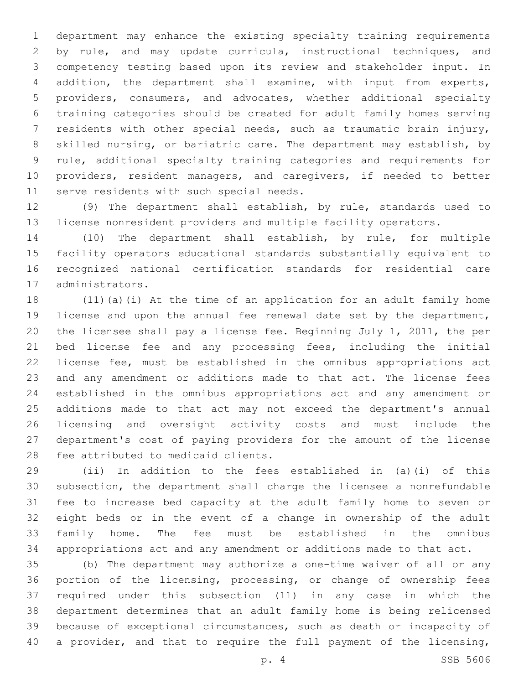department may enhance the existing specialty training requirements by rule, and may update curricula, instructional techniques, and competency testing based upon its review and stakeholder input. In addition, the department shall examine, with input from experts, providers, consumers, and advocates, whether additional specialty training categories should be created for adult family homes serving residents with other special needs, such as traumatic brain injury, skilled nursing, or bariatric care. The department may establish, by rule, additional specialty training categories and requirements for providers, resident managers, and caregivers, if needed to better 11 serve residents with such special needs.

 (9) The department shall establish, by rule, standards used to license nonresident providers and multiple facility operators.

 (10) The department shall establish, by rule, for multiple facility operators educational standards substantially equivalent to recognized national certification standards for residential care 17 administrators.

 (11)(a)(i) At the time of an application for an adult family home license and upon the annual fee renewal date set by the department, the licensee shall pay a license fee. Beginning July 1, 2011, the per bed license fee and any processing fees, including the initial license fee, must be established in the omnibus appropriations act and any amendment or additions made to that act. The license fees established in the omnibus appropriations act and any amendment or additions made to that act may not exceed the department's annual licensing and oversight activity costs and must include the department's cost of paying providers for the amount of the license 28 fee attributed to medicaid clients.

 (ii) In addition to the fees established in (a)(i) of this subsection, the department shall charge the licensee a nonrefundable fee to increase bed capacity at the adult family home to seven or eight beds or in the event of a change in ownership of the adult family home. The fee must be established in the omnibus appropriations act and any amendment or additions made to that act.

 (b) The department may authorize a one-time waiver of all or any portion of the licensing, processing, or change of ownership fees required under this subsection (11) in any case in which the department determines that an adult family home is being relicensed because of exceptional circumstances, such as death or incapacity of 40 a provider, and that to require the full payment of the licensing,